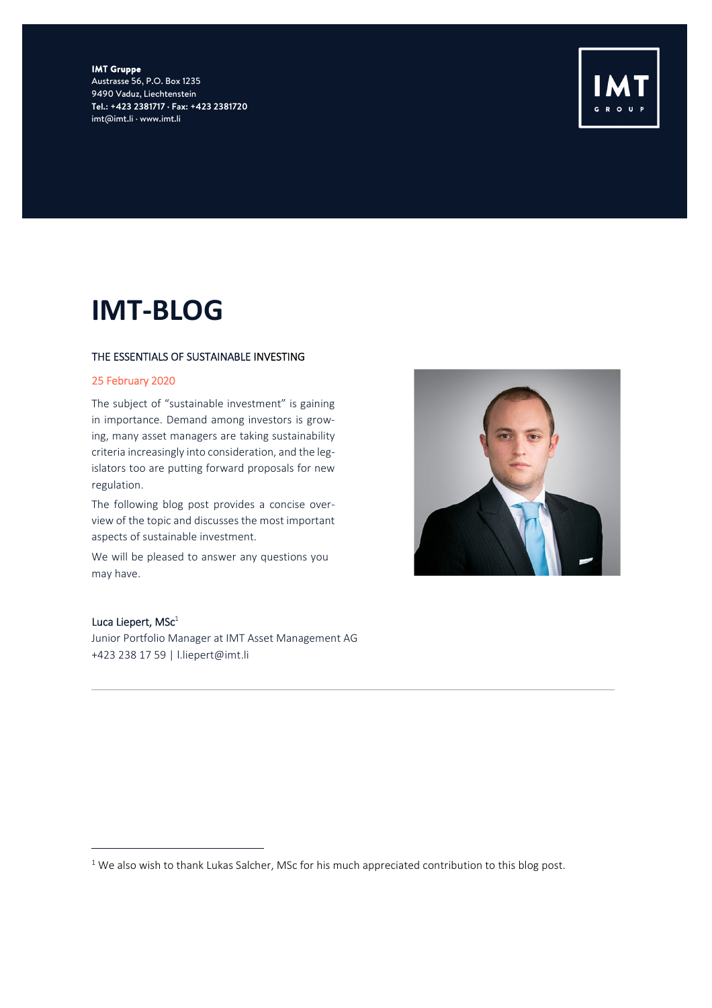#### *IMT Gruppe*

Austrasse 56, P.O. Box 1235 9490 Vaduz, Liechtenstein *Tel.: +423 2381717 · Fax: +423 2381720*  imt@imt.li · www.imt.li



# **IMT-BLOG**

#### THE ESSENTIALS OF SUSTAINABLE INVESTING

#### 25 February 2020

The subject of "sustainable investment" is gaining in importance. Demand among investors is growing, many asset managers are taking sustainability criteria increasingly into consideration, and the legislators too are putting forward proposals for new regulation.

The following blog post provides a concise overview of the topic and discusses the most important aspects of sustainable investment.

We will be pleased to answer any questions you may have.



 $\overline{a}$ 

Junior Portfolio Manager at IMT Asset Management AG +423 238 17 59 | l.liepert@imt.li



 $1$  We also wish to thank Lukas Salcher, MSc for his much appreciated contribution to this blog post.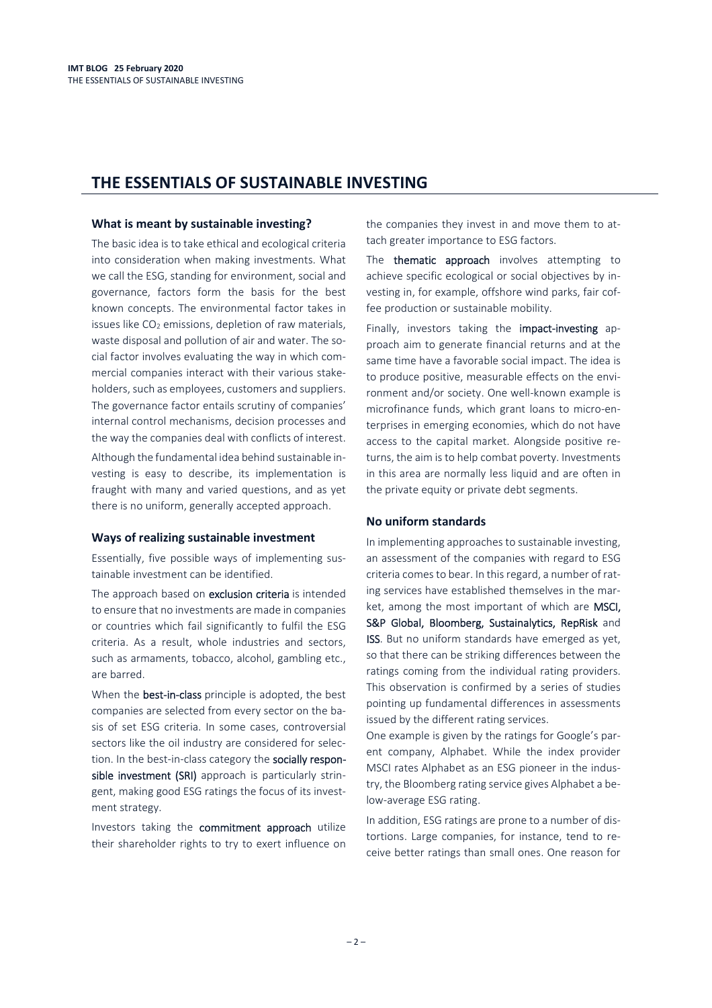# **THE ESSENTIALS OF SUSTAINABLE INVESTING**

#### **What is meant by sustainable investing?**

The basic idea is to take ethical and ecological criteria into consideration when making investments. What we call the ESG, standing for environment, social and governance, factors form the basis for the best known concepts. The environmental factor takes in issues like CO<sub>2</sub> emissions, depletion of raw materials, waste disposal and pollution of air and water. The social factor involves evaluating the way in which commercial companies interact with their various stakeholders, such as employees, customers and suppliers. The governance factor entails scrutiny of companies' internal control mechanisms, decision processes and the way the companies deal with conflicts of interest. Although the fundamental idea behind sustainable investing is easy to describe, its implementation is fraught with many and varied questions, and as yet there is no uniform, generally accepted approach.

#### **Ways of realizing sustainable investment**

Essentially, five possible ways of implementing sustainable investment can be identified.

The approach based on exclusion criteria is intended to ensure that no investments are made in companies or countries which fail significantly to fulfil the ESG criteria. As a result, whole industries and sectors, such as armaments, tobacco, alcohol, gambling etc., are barred.

When the **best-in-class** principle is adopted, the best companies are selected from every sector on the basis of set ESG criteria. In some cases, controversial sectors like the oil industry are considered for selection. In the best-in-class category the socially responsible investment (SRI) approach is particularly stringent, making good ESG ratings the focus of its investment strategy.

Investors taking the commitment approach utilize their shareholder rights to try to exert influence on

the companies they invest in and move them to attach greater importance to ESG factors.

The **thematic approach** involves attempting to achieve specific ecological or social objectives by investing in, for example, offshore wind parks, fair coffee production or sustainable mobility.

Finally, investors taking the impact-investing approach aim to generate financial returns and at the same time have a favorable social impact. The idea is to produce positive, measurable effects on the environment and/or society. One well-known example is microfinance funds, which grant loans to micro-enterprises in emerging economies, which do not have access to the capital market. Alongside positive returns, the aim is to help combat poverty. Investments in this area are normally less liquid and are often in the private equity or private debt segments.

### **No uniform standards**

In implementing approaches to sustainable investing, an assessment of the companies with regard to ESG criteria comes to bear. In this regard, a number of rating services have established themselves in the market, among the most important of which are MSCI, S&P Global, Bloomberg, Sustainalytics, RepRisk and ISS. But no uniform standards have emerged as yet, so that there can be striking differences between the ratings coming from the individual rating providers. This observation is confirmed by a series of studies pointing up fundamental differences in assessments issued by the different rating services.

One example is given by the ratings for Google's parent company, Alphabet. While the index provider MSCI rates Alphabet as an ESG pioneer in the industry, the Bloomberg rating service gives Alphabet a below-average ESG rating.

In addition, ESG ratings are prone to a number of distortions. Large companies, for instance, tend to receive better ratings than small ones. One reason for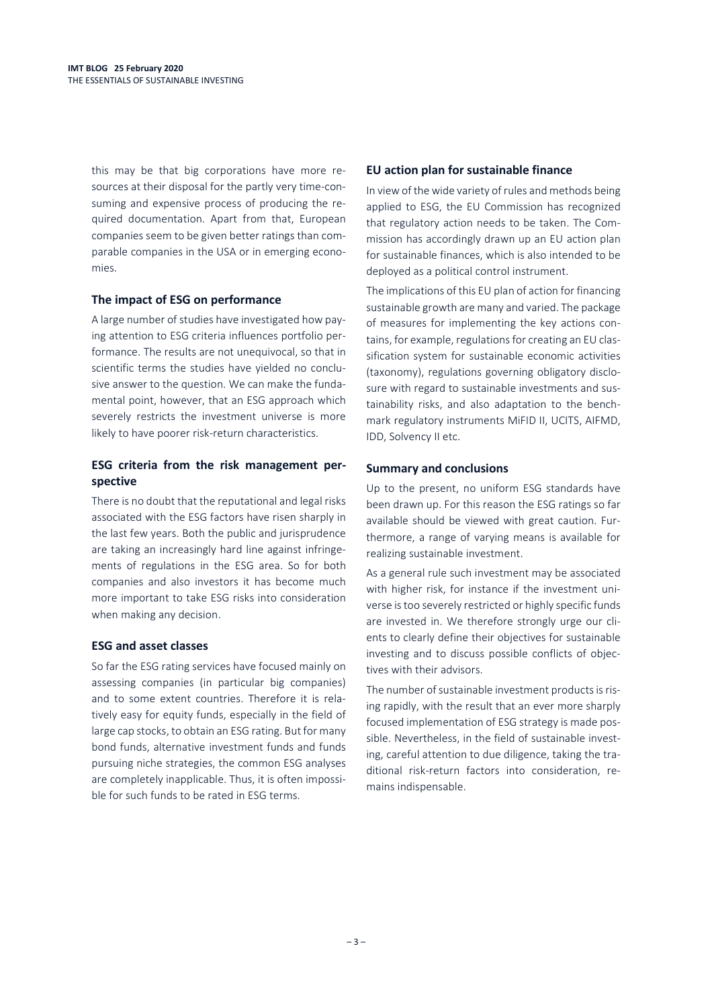this may be that big corporations have more resources at their disposal for the partly very time-consuming and expensive process of producing the required documentation. Apart from that, European companies seem to be given better ratings than comparable companies in the USA or in emerging economies.

### **The impact of ESG on performance**

A large number of studies have investigated how paying attention to ESG criteria influences portfolio performance. The results are not unequivocal, so that in scientific terms the studies have yielded no conclusive answer to the question. We can make the fundamental point, however, that an ESG approach which severely restricts the investment universe is more likely to have poorer risk-return characteristics.

# **ESG criteria from the risk management perspective**

There is no doubt that the reputational and legal risks associated with the ESG factors have risen sharply in the last few years. Both the public and jurisprudence are taking an increasingly hard line against infringements of regulations in the ESG area. So for both companies and also investors it has become much more important to take ESG risks into consideration when making any decision.

# **ESG and asset classes**

So far the ESG rating services have focused mainly on assessing companies (in particular big companies) and to some extent countries. Therefore it is relatively easy for equity funds, especially in the field of large cap stocks, to obtain an ESG rating. But for many bond funds, alternative investment funds and funds pursuing niche strategies, the common ESG analyses are completely inapplicable. Thus, it is often impossible for such funds to be rated in ESG terms.

### **EU action plan for sustainable finance**

In view of the wide variety of rules and methods being applied to ESG, the EU Commission has recognized that regulatory action needs to be taken. The Commission has accordingly drawn up an EU action plan for sustainable finances, which is also intended to be deployed as a political control instrument.

The implications of this EU plan of action for financing sustainable growth are many and varied. The package of measures for implementing the key actions contains, for example, regulations for creating an EU classification system for sustainable economic activities (taxonomy), regulations governing obligatory disclosure with regard to sustainable investments and sustainability risks, and also adaptation to the benchmark regulatory instruments MiFID II, UCITS, AIFMD, IDD, Solvency II etc.

# **Summary and conclusions**

Up to the present, no uniform ESG standards have been drawn up. For this reason the ESG ratings so far available should be viewed with great caution. Furthermore, a range of varying means is available for realizing sustainable investment.

As a general rule such investment may be associated with higher risk, for instance if the investment universe is too severely restricted or highly specific funds are invested in. We therefore strongly urge our clients to clearly define their objectives for sustainable investing and to discuss possible conflicts of objectives with their advisors.

The number of sustainable investment products is rising rapidly, with the result that an ever more sharply focused implementation of ESG strategy is made possible. Nevertheless, in the field of sustainable investing, careful attention to due diligence, taking the traditional risk-return factors into consideration, remains indispensable.